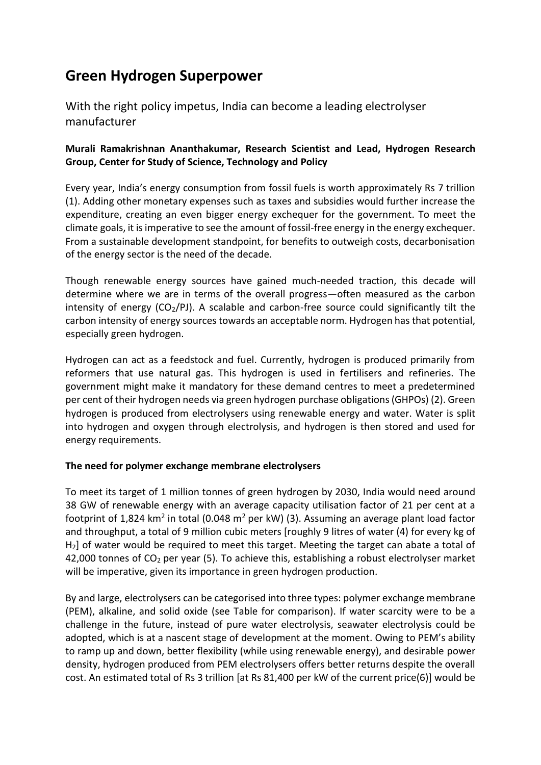# **Green Hydrogen Superpower**

With the right policy impetus, India can become a leading electrolyser manufacturer

# **Murali Ramakrishnan Ananthakumar, Research Scientist and Lead, Hydrogen Research Group, Center for Study of Science, Technology and Policy**

Every year, India's energy consumption from fossil fuels is worth approximately Rs 7 trillion (1). Adding other monetary expenses such as taxes and subsidies would further increase the expenditure, creating an even bigger energy exchequer for the government. To meet the climate goals, it is imperative to see the amount of fossil-free energy in the energy exchequer. From a sustainable development standpoint, for benefits to outweigh costs, decarbonisation of the energy sector is the need of the decade.

Though renewable energy sources have gained much-needed traction, this decade will determine where we are in terms of the overall progress—often measured as the carbon intensity of energy  $(CO_2/P)$ . A scalable and carbon-free source could significantly tilt the carbon intensity of energy sources towards an acceptable norm. Hydrogen has that potential, especially green hydrogen.

Hydrogen can act as a feedstock and fuel. Currently, hydrogen is produced primarily from reformers that use natural gas. This hydrogen is used in fertilisers and refineries. The government might make it mandatory for these demand centres to meet a predetermined per cent of their hydrogen needs via green hydrogen purchase obligations (GHPOs) (2). Green hydrogen is produced from electrolysers using renewable energy and water. Water is split into hydrogen and oxygen through electrolysis, and hydrogen is then stored and used for energy requirements.

# **The need for polymer exchange membrane electrolysers**

To meet its target of 1 million tonnes of green hydrogen by 2030, India would need around 38 GW of renewable energy with an average capacity utilisation factor of 21 per cent at a footprint of 1,824 km<sup>2</sup> in total (0.048 m<sup>2</sup> per kW) (3). Assuming an average plant load factor and throughput, a total of 9 million cubic meters [roughly 9 litres of water (4) for every kg of H2] of water would be required to meet this target. Meeting the target can abate a total of 42,000 tonnes of CO<sup>2</sup> per year (5). To achieve this, establishing a robust electrolyser market will be imperative, given its importance in green hydrogen production.

By and large, electrolysers can be categorised into three types: polymer exchange membrane (PEM), alkaline, and solid oxide (see Table for comparison). If water scarcity were to be a challenge in the future, instead of pure water electrolysis, seawater electrolysis could be adopted, which is at a nascent stage of development at the moment. Owing to PEM's ability to ramp up and down, better flexibility (while using renewable energy), and desirable power density, hydrogen produced from PEM electrolysers offers better returns despite the overall cost. An estimated total of Rs 3 trillion [at Rs 81,400 per kW of the current price(6)] would be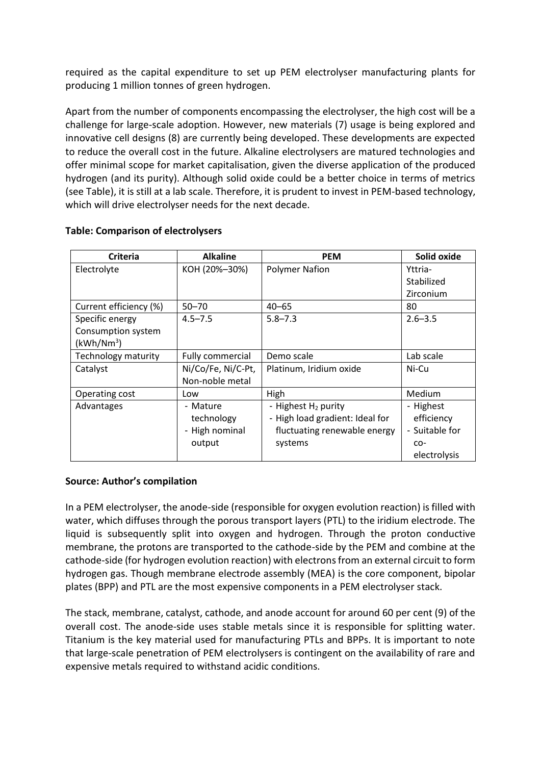required as the capital expenditure to set up PEM electrolyser manufacturing plants for producing 1 million tonnes of green hydrogen.

Apart from the number of components encompassing the electrolyser, the high cost will be a challenge for large-scale adoption. However, new materials (7) usage is being explored and innovative cell designs (8) are currently being developed. These developments are expected to reduce the overall cost in the future. Alkaline electrolysers are matured technologies and offer minimal scope for market capitalisation, given the diverse application of the produced hydrogen (and its purity). Although solid oxide could be a better choice in terms of metrics (see Table), it is still at a lab scale. Therefore, it is prudent to invest in PEM-based technology, which will drive electrolyser needs for the next decade.

| Criteria                   | <b>Alkaline</b>    | <b>PEM</b>                      | Solid oxide    |
|----------------------------|--------------------|---------------------------------|----------------|
| Electrolyte                | KOH (20%-30%)      | <b>Polymer Nafion</b>           | Yttria-        |
|                            |                    |                                 | Stabilized     |
|                            |                    |                                 | Zirconium      |
| Current efficiency (%)     | $50 - 70$          | $40 - 65$                       | 80             |
| Specific energy            | $4.5 - 7.5$        | $5.8 - 7.3$                     | $2.6 - 3.5$    |
| Consumption system         |                    |                                 |                |
| (kWh/Nm <sup>3</sup> )     |                    |                                 |                |
| <b>Technology maturity</b> | Fully commercial   | Demo scale                      | Lab scale      |
| Catalyst                   | Ni/Co/Fe, Ni/C-Pt, | Platinum, Iridium oxide         | Ni-Cu          |
|                            | Non-noble metal    |                                 |                |
| Operating cost             | Low                | High                            | Medium         |
| Advantages                 | - Mature           | - Highest H <sub>2</sub> purity | - Highest      |
|                            | technology         | - High load gradient: Ideal for | efficiency     |
|                            | - High nominal     | fluctuating renewable energy    | - Suitable for |
|                            | output             | systems                         | $CO-$          |
|                            |                    |                                 | electrolysis   |

#### **Table: Comparison of electrolysers**

# **Source: Author's compilation**

In a PEM electrolyser, the anode-side (responsible for oxygen evolution reaction) is filled with water, which diffuses through the porous transport layers (PTL) to the iridium electrode. The liquid is subsequently split into oxygen and hydrogen. Through the proton conductive membrane, the protons are transported to the cathode-side by the PEM and combine at the cathode-side (for hydrogen evolution reaction) with electrons from an external circuit to form hydrogen gas. Though membrane electrode assembly (MEA) is the core component, bipolar plates (BPP) and PTL are the most expensive components in a PEM electrolyser stack.

The stack, membrane, catalyst, cathode, and anode account for around 60 per cent (9) of the overall cost. The anode-side uses stable metals since it is responsible for splitting water. Titanium is the key material used for manufacturing PTLs and BPPs. It is important to note that large-scale penetration of PEM electrolysers is contingent on the availability of rare and expensive metals required to withstand acidic conditions.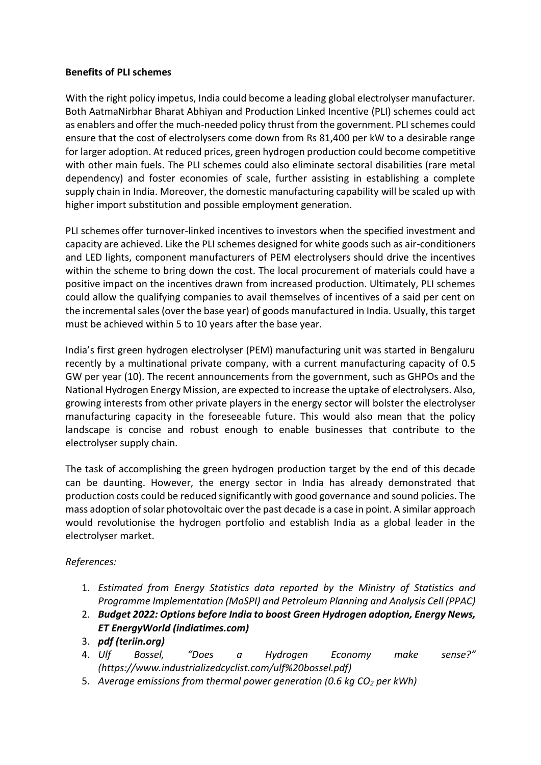#### **Benefits of PLI schemes**

With the right policy impetus, India could become a leading global electrolyser manufacturer. Both AatmaNirbhar Bharat Abhiyan and Production Linked Incentive (PLI) schemes could act as enablers and offer the much-needed policy thrust from the government. PLI schemes could ensure that the cost of electrolysers come down from Rs 81,400 per kW to a desirable range for larger adoption. At reduced prices, green hydrogen production could become competitive with other main fuels. The PLI schemes could also eliminate sectoral disabilities (rare metal dependency) and foster economies of scale, further assisting in establishing a complete supply chain in India. Moreover, the domestic manufacturing capability will be scaled up with higher import substitution and possible employment generation.

PLI schemes offer turnover-linked incentives to investors when the specified investment and capacity are achieved. Like the PLI schemes designed for white goods such as air-conditioners and LED lights, component manufacturers of PEM electrolysers should drive the incentives within the scheme to bring down the cost. The local procurement of materials could have a positive impact on the incentives drawn from increased production. Ultimately, PLI schemes could allow the qualifying companies to avail themselves of incentives of a said per cent on the incremental sales (over the base year) of goods manufactured in India. Usually, this target must be achieved within 5 to 10 years after the base year.

India's first green hydrogen electrolyser (PEM) manufacturing unit was started in Bengaluru recently by a multinational private company, with a current manufacturing capacity of 0.5 GW per year (10). The recent announcements from the government, such as GHPOs and the National Hydrogen Energy Mission, are expected to increase the uptake of electrolysers. Also, growing interests from other private players in the energy sector will bolster the electrolyser manufacturing capacity in the foreseeable future. This would also mean that the policy landscape is concise and robust enough to enable businesses that contribute to the electrolyser supply chain.

The task of accomplishing the green hydrogen production target by the end of this decade can be daunting. However, the energy sector in India has already demonstrated that production costs could be reduced significantly with good governance and sound policies. The mass adoption of solar photovoltaic over the past decade is a case in point. A similar approach would revolutionise the hydrogen portfolio and establish India as a global leader in the electrolyser market.

# *References:*

- 1. *Estimated from Energy Statistics data reported by the Ministry of Statistics and Programme Implementation (MoSPI) and Petroleum Planning and Analysis Cell (PPAC)*
- 2. *Budget 2022: Options before India to boost Green [Hydrogen](https://energy.economictimes.indiatimes.com/news/renewable/budget-2022-options-before-india-to-boost-green-hydrogen-adoption/88805269) adoption, Energy News, ET EnergyWorld [\(indiatimes.com\)](https://energy.economictimes.indiatimes.com/news/renewable/budget-2022-options-before-india-to-boost-green-hydrogen-adoption/88805269)*
- 3. *pdf [\(teriin.org\)](https://www.teriin.org/sites/default/files/2021-07/Report_on_The_Potential_Role_of_%20Hydrogen_in_India.pdf)*
- 4. *Ulf Bossel, "Does a Hydrogen Economy make sense?" (https://www.industrializedcyclist.com/ulf%20bossel.pdf)*
- 5. *Average emissions from thermal power generation (0.6 kg CO<sup>2</sup> per kWh)*